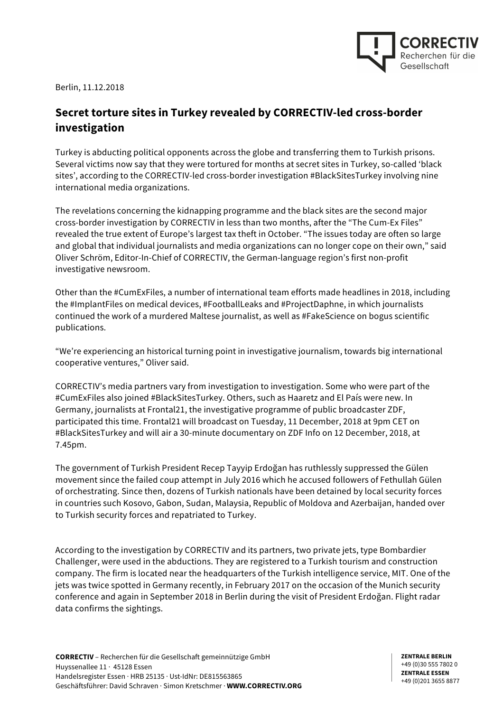

Berlin, 11.12.2018

## **Secret torture sites in Turkey revealed by CORRECTIV-led cross-border investigation**

Turkey is abducting political opponents across the globe and transferring them to Turkish prisons. Several victims now say that they were tortured for months at secret sites in Turkey, so-called 'black sites', according to the CORRECTIV-led cross-border investigation #BlackSitesTurkey involving nine international media organizations.

The revelations concerning the kidnapping programme and the black sites are the second major cross-border investigation by CORRECTIV in less than two months, after the "The Cum-Ex Files" revealed the true extent of Europe's largest tax theft in October. "The issues today are often so large and global that individual journalists and media organizations can no longer cope on their own," said Oliver Schröm, Editor-In-Chief of CORRECTIV, the German-language region's first non-profit investigative newsroom.

Other than the #CumExFiles, a number of international team efforts made headlines in 2018, including the #ImplantFiles on medical devices, #FootballLeaks and #ProjectDaphne, in which journalists continued the work of a murdered Maltese journalist, as well as #FakeScience on bogus scientific publications.

"We're experiencing an historical turning point in investigative journalism, towards big international cooperative ventures," Oliver said.

CORRECTIV's media partners vary from investigation to investigation. Some who were part of the #CumExFiles also joined #BlackSitesTurkey. Others, such as Haaretz and El País were new. In Germany, journalists at Frontal21, the investigative programme of public broadcaster ZDF, participated this time. Frontal21 will broadcast on Tuesday, 11 December, 2018 at 9pm CET on #BlackSitesTurkey and will air a 30-minute documentary on ZDF Info on 12 December, 2018, at 7.45pm.

The government of Turkish President Recep Tayyip Erdoğan has ruthlessly suppressed the Gülen movement since the failed coup attempt in July 2016 which he accused followers of Fethullah Gülen of orchestrating. Since then, dozens of Turkish nationals have been detained by local security forces in countries such Kosovo, Gabon, Sudan, Malaysia, Republic of Moldova and Azerbaijan, handed over to Turkish security forces and repatriated to Turkey.

According to the investigation by CORRECTIV and its partners, two private jets, type Bombardier Challenger, were used in the abductions. They are registered to a Turkish tourism and construction company. The firm is located near the headquarters of the Turkish intelligence service, MIT. One of the jets was twice spotted in Germany recently, in February 2017 on the occasion of the Munich security conference and again in September 2018 in Berlin during the visit of President Erdoğan. Flight radar data confirms the sightings.